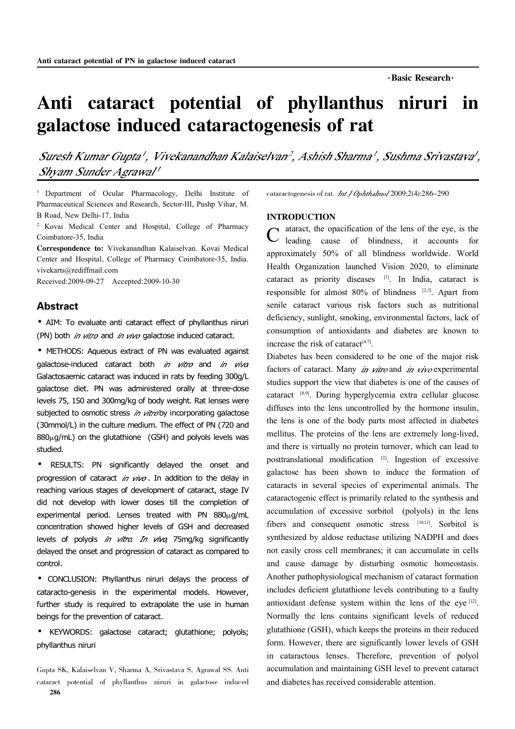# Anti cataract potential of phyllanthus niruri in galactose induced cataractogenesis of rat

Suresh Kumar Gupta', Vivekanandhan Kalaiselvan<sup>2</sup>, Ashish Sharma', Sushma Srivastava', Shvam Sunder Agrawal'

<sup>1</sup> Department of Ocular Pharmacology, Delhi Institute of Pharmaceutical Sciences and Research, Sector-III, Pushp Vihar, M.

<sup>2</sup> Kovai Medical Center and Hospital, College of Pharmacy Coimbatore-35, India

Correspondence to: Vivekanandhan Kalaiselvan. Kovai Medical Center and Hospital, College of Pharmacy Coimbatore-35, India. vivekarts@rediffmail.com

Received:2009-09-27 Accepted:2009-10-30

### Abstract

·AIM: To evaluate anti cataract effect of phyllanthus niruri (PN) both *in vitro* and *in vivo* galactose induced cataract.

·METHODS: Aqueous extract of PN was evaluated against galactose-induced cataract both  $in$  vitro and  $in$  viva Galactosaemic cataract was induced in rats by feeding 300g/L galactose diet. PN was administered orally at three-dose levels 75, 150 and 300mg/kg of body weight. Rat lenses were subjected to osmotic stress in vitroby incorporating galactose (30mmol/L) in the culture medium. The effect of PN (720 and  $880<sub>\mu</sub>g/mL$ ) on the glutathione (GSH) and polyols levels was studied.

· RESULTS: PN significantly delayed the onset and progression of cataract in  $viv$ . In addition to the delay in reaching various stages of development of cataract, stage IV did not develop with lower doses till the completion of experimental period. Lenses treated with PN  $880\mu$ g/mL concentration showed higher levels of GSH and decreased levels of polyols in vitra In viva 75mg/kg significantly delayed the onset and progression of cataract as compared to control.

·CONCLUSION: Phyllanthus niruri delays the process of cataracto-genesis in the experimental models. However, further study is required to extrapolate the use in human beings for the prevention of cataract.

· KEYWORDS: galactose cataract; glutathione; polyols; phyllanthus niruri

Gupta SK, Kalaiselvan V, Sharma A, Srivastava S, Agrawal SS. Anti cataract potential of phyllanthus niruri in galactose induced 286

cataractogenesis of rat. *Int J Ophthalmol* 2009;2(4):286-290

## INTRODUCTION

C ataract, the opacification of the lens of the eye, is the leading cause of blindness, it accounts for leading cause of blindness, it accounts for approximately 50% of all blindness worldwide. World Health Organization launched Vision 2020, to eliminate cataract as priority diseases [1]. In India, cataract is responsible for almost  $80\%$  of blindness  $[2,3]$ . Apart from senile cataract various risk factors such as nutritional deficiency, sunlight, smoking, environmental factors, lack of consumption of antioxidants and diabetes are known to increase the risk of cataract $[4-7]$ .

Diabetes has been considered to be one of the major risk factors of cataract. Many in vitro and in vivo experimental studies support the view that diabetes is one of the causes of cataract [8,9]. During hyperglycemia extra cellular glucose diffuses into the lens uncontrolled by the hormone insulin, the lens is one of the body parts most affected in diabetes mellitus. The proteins of the lens are extremely long-lived, and there is virtually no protein turnover, which can lead to posttranslational modification [2]. Ingestion of excessive galactose has been shown to induce the formation of cataracts in several species of experimental animals. The cataractogenic effect is primarily related to the synthesis and accumulation of excessive sorbitol (polyols) in the lens fibers and consequent osmotic stress [10,11]. Sorbitol is synthesized by aldose reductase utilizing NADPH and does not easily cross cell membranes; it can accumulate in cells and cause damage by disturbing osmotic homeostasis. Another pathophysiological mechanism of cataract formation includes deficient glutathione levels contributing to a faulty antioxidant defense system within the lens of the eye  $[12]$ . Normally the lens contains significant levels of reduced glutathione (GSH), which keeps the proteins in their reduced form. However, there are significantly lower levels of GSH in cataractous lenses. Therefore, prevention of polyol accumulation and maintaining GSH level to prevent cataract and diabetes has received considerable attention.

B Road, New Delhi-17, India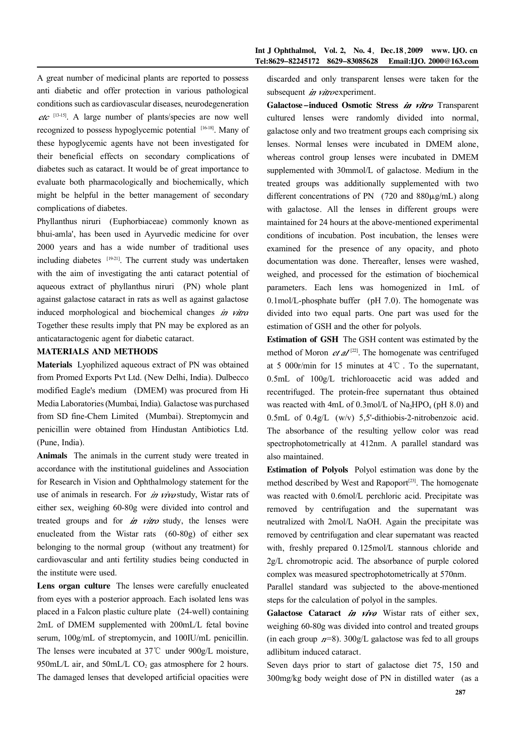A great number of medicinal plants are reported to possess anti diabetic and offer protection in various pathological conditions such as cardiovascular diseases, neurodegeneration [13-15] . A large number of plants/species are now well recognized to possess hypoglycemic potential [16-18]. Many of these hypoglycemic agents have not been investigated for their beneficial effects on secondary complications of diabetes such as cataract. It would be of great importance to evaluate both pharmacologically and biochemically, which might be helpful in the better management of secondary complications of diabetes.

Phyllanthus niruri (Euphorbiaceae) commonly known as bhui-amla', has been used in Ayurvedic medicine for over 2000 years and has a wide number of traditional uses including diabetes  $[19-21]$ . The current study was undertaken with the aim of investigating the anti cataract potential of aqueous extract of phyllanthus niruri (PN) whole plant against galactose cataract in rats as well as against galactose induced morphological and biochemical changes in vitra Together these results imply that PN may be explored as an anticataractogenic agent for diabetic cataract.

## MATERIALS AND METHODS

Materials Lyophilized aqueous extract of PN was obtained from Promed Exports Pvt Ltd. (New Delhi, India). Dulbecco modified Eagle's medium (DMEM) was procured from Hi Media Laboratories(Mumbai, India). Galactose was purchased from SD fine-Chem Limited (Mumbai). Streptomycin and penicillin were obtained from Hindustan Antibiotics Ltd. (Pune, India).

Animals The animals in the current study were treated in accordance with the institutional guidelines and Association for Research in Vision and Ophthalmology statement for the use of animals in research. For *in vivo* study, Wistar rats of either sex, weighing 60-80g were divided into control and treated groups and for *in vitro* study, the lenses were enucleated from the Wistar rats (60-80g) of either sex belonging to the normal group (without any treatment) for cardiovascular and anti fertility studies being conducted in the institute were used.

Lens organ culture The lenses were carefully enucleated from eyes with a posterior approach. Each isolated lens was placed in a Falcon plastic culture plate (24-well) containing 2mL of DMEM supplemented with 200mL/L fetal bovine serum, 100g/mL of streptomycin, and 100IU/mL penicillin. The lenses were incubated at 37℃ under 900g/L moisture, 950mL/L air, and 50mL/L  $CO<sub>2</sub>$  gas atmosphere for 2 hours. The damaged lenses that developed artificial opacities were

discarded and only transparent lenses were taken for the subsequent  $\dot{\mathbf{m}}$  vitro experiment.

Galactose-induced Osmotic Stress in vitro Transparent cultured lenses were randomly divided into normal, galactose only and two treatment groups each comprising six lenses. Normal lenses were incubated in DMEM alone, whereas control group lenses were incubated in DMEM supplemented with 30mmol/L of galactose. Medium in the treated groups was additionally supplemented with two different concentrations of PN  $(720 \text{ and } 880 \mu\text{g/mL})$  along with galactose. All the lenses in different groups were maintained for 24 hours at the above-mentioned experimental conditions of incubation. Post incubation, the lenses were examined for the presence of any opacity, and photo documentation was done. Thereafter, lenses were washed, weighed, and processed for the estimation of biochemical parameters. Each lens was homogenized in 1mL of 0.1mol/L-phosphate buffer (pH 7.0). The homogenate was divided into two equal parts. One part was used for the estimation of GSH and the other for polyols.

Estimation of GSH The GSH content was estimated by the method of Moron  $et \, \mathcal{U}^{[2]}$ . The homogenate was centrifuged at 5 000r/min for 15 minutes at 4℃ . To the supernatant, 0.5mL of 100g/L trichloroacetic acid was added and recentrifuged. The protein-free supernatant thus obtained was reacted with 4mL of  $0.3$ mol/L of Na<sub>2</sub>HPO<sub>4</sub> (pH 8.0) and 0.5mL of 0.4g/L (w/v) 5,5'-dithiobis-2-nitrobenzoic acid. The absorbance of the resulting yellow color was read spectrophotometrically at 412nm. A parallel standard was also maintained.

Estimation of Polyols Polyol estimation was done by the method described by West and Rapoport<sup>[23]</sup>. The homogenate was reacted with 0.6mol/L perchloric acid. Precipitate was removed by centrifugation and the supernatant was neutralized with 2mol/L NaOH. Again the precipitate was removed by centrifugation and clear supernatant was reacted with, freshly prepared 0.125mol/L stannous chloride and 2g/L chromotropic acid. The absorbance of purple colored complex was measured spectrophotometrically at 570nm.

Parallel standard was subjected to the above-mentioned steps for the calculation of polyol in the samples.

Galactose Cataract  $\dot{m}$  vivo Wistar rats of either sex, weighing 60-80g was divided into control and treated groups (in each group  $n=8$ ). 300g/L galactose was fed to all groups adlibitum induced cataract.

Seven days prior to start of galactose diet 75, 150 and 300mg/kg body weight dose of PN in distilled water (as a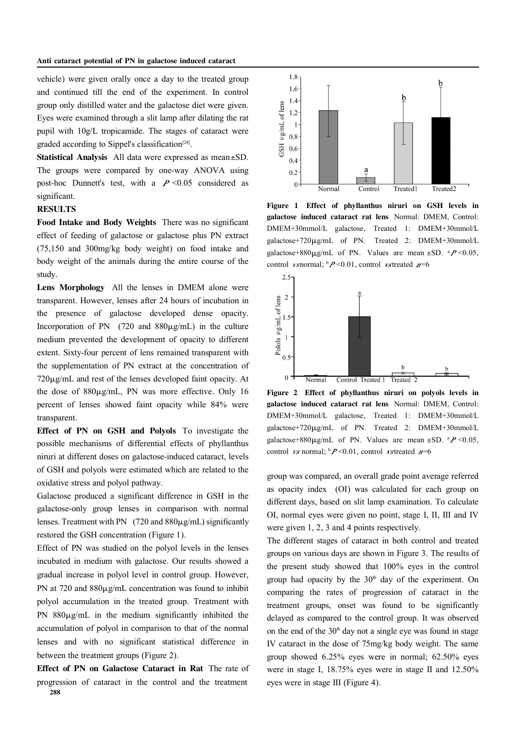vehicle) were given orally once a day to the treated group and continued till the end of the experiment. In control group only distilled water and the galactose diet were given. Eyes were examined through a slit lamp after dilating the rat pupil with 10g/L tropicamide. The stages of cataract were graded according to Sippel's classification<sup>[24]</sup>.

Statistical Analysis All data were expressed as mean±SD. The groups were compared by one-way ANOVA using post-hoc Dunnett's test, with a  $P \le 0.05$  considered as significant.

## **RESULTS**

Food Intake and Body Weights There was no significant effect of feeding of galactose or galactose plus PN extract (75,150 and 300mg/kg body weight) on food intake and body weight of the animals during the entire course of the study.

Lens Morphology All the lenses in DMEM alone were transparent. However, lenses after 24 hours of incubation in the presence of galactose developed dense opacity. Incorporation of PN  $(720 \text{ and } 880 \mu\text{g/mL})$  in the culture medium prevented the development of opacity to different extent. Sixty-four percent of lens remained transparent with the supplementation of PN extract at the concentration of  $720\mu$ g/mL and rest of the lenses developed faint opacity. At the dose of  $880\mu g/mL$ , PN was more effective. Only 16 percent of lenses showed faint opacity while 84% were transparent.

Effect of PN on GSH and Polyols To investigate the possible mechanisms of differential effects of phyllanthus niruri at different doses on galactose-induced cataract, levels of GSH and polyols were estimated which are related to the oxidative stress and polyol pathway.

Galactose produced a significant difference in GSH in the galactose-only group lenses in comparison with normal lenses. Treatment with PN  $(720 \text{ and } 880 \mu\text{g/mL})$  significantly restored the GSH concentration (Figure 1).

Effect of PN was studied on the polyol levels in the lenses incubated in medium with galactose. Our results showed a gradual increase in polyol level in control group. However, PN at 720 and  $880\mu$ g/mL concentration was found to inhibit polyol accumulation in the treated group. Treatment with PN  $880\mu\text{g/mL}$  in the medium significantly inhibited the accumulation of polyol in comparison to that of the normal lenses and with no significant statistical difference in between the treatment groups (Figure 2).

Effect of PN on Galactose Cataract in Rat The rate of progression of cataract in the control and the treatment 288



Figure 1 Effect of phyllanthus niruri on GSH levels in galactose induced cataract rat lens Normal: DMEM, Control: DMEM+30mmol/L galactose, Treated 1: DMEM+30mmol/L galactose+720µg/mL of PN. Treated 2: DMEM+30mmol/L galactose+880 $\mu$ g/mL of PN. Values are mean ±SD.  $^{a}P$  <0.05, control  $\nu$ snormal;  $\Delta P \le 0.01$ , control  $\nu$ streated  $\Delta P = 6$ 



Figure 2 Effect of phyllanthus niruri on polyols levels in galactose induced cataract rat lens Normal: DMEM, Control: DMEM+30mmol/L galactose, Treated 1: DMEM+30mmol/L galactose+720µg/mL of PN. Treated 2: DMEM+30mmol/L galactose+880 $\mu$ g/mL of PN. Values are mean ±SD.  $^{a}P$  <0.05, control *vs* normal;  $\frac{b}{P}$  <0.01, control *vs* treated  $n=6$ 

group was compared, an overall grade point average referred as opacity index (OI) was calculated for each group on different days, based on slit lamp examination. To calculate OI, normal eyes were given no point, stage I, II, III and IV were given 1, 2, 3 and 4 points respectively.

The different stages of cataract in both control and treated groups on various days are shown in Figure 3. The results of the present study showed that 100% eyes in the control group had opacity by the  $30<sup>th</sup>$  day of the experiment. On comparing the rates of progression of cataract in the treatment groups, onset was found to be significantly delayed as compared to the control group. It was observed on the end of the  $30<sup>th</sup>$  day not a single eye was found in stage IV cataract in the dose of 75mg/kg body weight. The same group showed 6.25% eyes were in normal; 62.50% eyes were in stage I, 18.75% eyes were in stage II and 12.50% eyes were in stage III (Figure 4).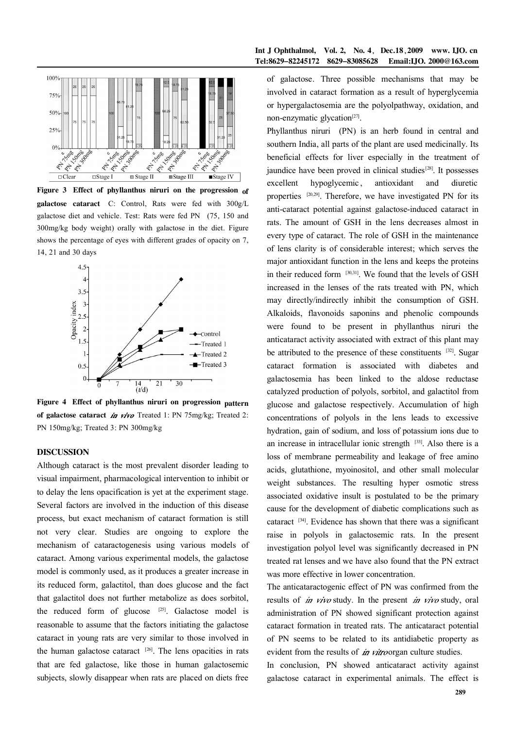

Figure 3 Effect of phyllanthus niruri on the progression of galactose cataract C: Control, Rats were fed with 300g/L galactose diet and vehicle. Test: Rats were fed PN (75, 150 and 300mg/kg body weight) orally with galactose in the diet. Figure shows the percentage of eyes with different grades of opacity on 7, 14, 21 and 30 days



Figure 4 Effect of phyllanthus niruri on progression pattern of galactose cataract  $\dot{\mathbf{m}}$  vivo Treated 1: PN 75mg/kg; Treated 2: PN 150mg/kg; Treated 3: PN 300mg/kg

## DISCUSSION

Although cataract is the most prevalent disorder leading to visual impairment, pharmacological intervention to inhibit or to delay the lens opacification is yet at the experiment stage. Several factors are involved in the induction of this disease process, but exact mechanism of cataract formation is still not very clear. Studies are ongoing to explore the mechanism of cataractogenesis using various models of cataract. Among various experimental models, the galactose model is commonly used, as it produces a greater increase in its reduced form, galactitol, than does glucose and the fact that galactitol does not further metabolize as does sorbitol, the reduced form of glucose  $[25]$ . Galactose model is reasonable to assume that the factors initiating the galactose cataract in young rats are very similar to those involved in the human galactose cataract  $[26]$ . The lens opacities in rats that are fed galactose, like those in human galactosemic subjects, slowly disappear when rats are placed on diets free

#### Int J Ophthalmol, Vol. 2, No. 4, Dec.18, 2009 www. IJO. cn Tel:8629-82245172 8629-83085628 Email:IJO. 2000@163.com

of galactose. Three possible mechanisms that may be involved in cataract formation as a result of hyperglycemia or hypergalactosemia are the polyolpathway, oxidation, and non-enzymatic glycation $^{[27]}$ .

Phyllanthus niruri (PN) is an herb found in central and southern India, all parts of the plant are used medicinally. Its beneficial effects for liver especially in the treatment of jaundice have been proved in clinical studies<sup>[28]</sup>. It possesses excellent hypoglycemic, antioxidant and diuretic properties <sup>[20,29]</sup>. Therefore, we have investigated PN for its anti-cataract potential against galactose-induced cataract in rats. The amount of GSH in the lens decreases almost in every type of cataract. The role of GSH in the maintenance of lens clarity is of considerable interest; which serves the major antioxidant function in the lens and keeps the proteins in their reduced form [30,31]. We found that the levels of GSH increased in the lenses of the rats treated with PN, which may directly/indirectly inhibit the consumption of GSH. Alkaloids, flavonoids saponins and phenolic compounds were found to be present in phyllanthus niruri the anticataract activity associated with extract of this plant may be attributed to the presence of these constituents [32]. Sugar cataract formation is associated with diabetes and galactosemia has been linked to the aldose reductase catalyzed production of polyols, sorbitol, and galactitol from glucose and galactose respectively. Accumulation of high concentrations of polyols in the lens leads to excessive hydration, gain of sodium, and loss of potassium ions due to an increase in intracellular ionic strength  $[33]$ . Also there is a loss of membrane permeability and leakage of free amino acids, glutathione, myoinositol, and other small molecular weight substances. The resulting hyper osmotic stress associated oxidative insult is postulated to be the primary cause for the development of diabetic complications such as cataract  $[34]$ . Evidence has shown that there was a significant raise in polyols in galactosemic rats. In the present investigation polyol level was significantly decreased in PN treated rat lenses and we have also found that the PN extract was more effective in lower concentration.

The anticataractogenic effect of PN was confirmed from the results of  $\dot{m}$  vivo study. In the present  $\dot{m}$  vivo study, oral administration of PN showed significant protection against cataract formation in treated rats. The anticataract potential of PN seems to be related to its antidiabetic property as evident from the results of  $\dot{m}$  vitroorgan culture studies.

In conclusion, PN showed anticataract activity against galactose cataract in experimental animals. The effect is